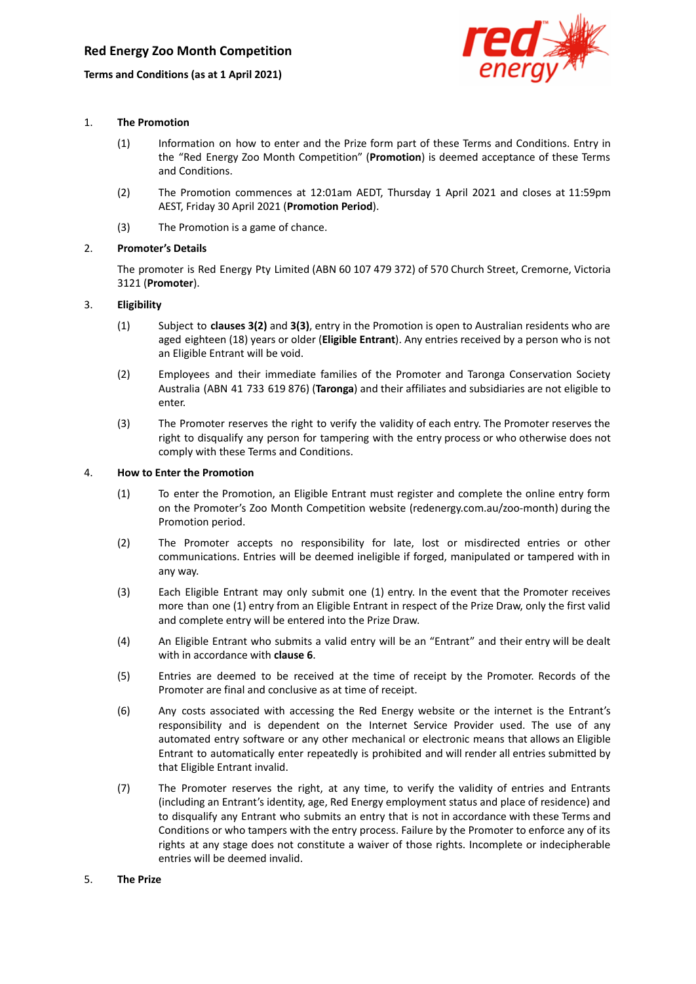## **Terms and Conditions (as at 1 April 2021)**



### 1. **The Promotion**

- (1) Information on how to enter and the Prize form part of these Terms and Conditions. Entry in the "Red Energy Zoo Month Competition" (**Promotion**) is deemed acceptance of these Terms and Conditions.
- (2) The Promotion commences at 12:01am AEDT, Thursday 1 April 2021 and closes at 11:59pm AEST, Friday 30 April 2021 (**Promotion Period**).
- (3) The Promotion is a game of chance.

## 2. **Promoter's Details**

The promoter is Red Energy Pty Limited (ABN 60 107 479 372) of 570 Church Street, Cremorne, Victoria 3121 (**Promoter**).

### 3. **Eligibility**

- (1) Subject to **clauses 3(2)** and **3(3)**, entry in the Promotion is open to Australian residents who are aged eighteen (18) years or older (**Eligible Entrant**). Any entries received by a person who is not an Eligible Entrant will be void.
- (2) Employees and their immediate families of the Promoter and Taronga Conservation Society Australia (ABN 41 733 619 876) (**Taronga**) and their affiliates and subsidiaries are not eligible to enter.
- (3) The Promoter reserves the right to verify the validity of each entry. The Promoter reserves the right to disqualify any person for tampering with the entry process or who otherwise does not comply with these Terms and Conditions.

### 4. **How to Enter the Promotion**

- (1) To enter the Promotion, an Eligible Entrant must register and complete the online entry form on the Promoter's Zoo Month Competition website (redenergy.com.au/zoo-month) during the Promotion period.
- (2) The Promoter accepts no responsibility for late, lost or misdirected entries or other communications. Entries will be deemed ineligible if forged, manipulated or tampered with in any way.
- (3) Each Eligible Entrant may only submit one (1) entry. In the event that the Promoter receives more than one (1) entry from an Eligible Entrant in respect of the Prize Draw, only the first valid and complete entry will be entered into the Prize Draw.
- (4) An Eligible Entrant who submits a valid entry will be an "Entrant" and their entry will be dealt with in accordance with **clause 6**.
- (5) Entries are deemed to be received at the time of receipt by the Promoter. Records of the Promoter are final and conclusive as at time of receipt.
- (6) Any costs associated with accessing the Red Energy website or the internet is the Entrant's responsibility and is dependent on the Internet Service Provider used. The use of any automated entry software or any other mechanical or electronic means that allows an Eligible Entrant to automatically enter repeatedly is prohibited and will render all entries submitted by that Eligible Entrant invalid.
- (7) The Promoter reserves the right, at any time, to verify the validity of entries and Entrants (including an Entrant's identity, age, Red Energy employment status and place of residence) and to disqualify any Entrant who submits an entry that is not in accordance with these Terms and Conditions or who tampers with the entry process. Failure by the Promoter to enforce any of its rights at any stage does not constitute a waiver of those rights. Incomplete or indecipherable entries will be deemed invalid.

#### 5. **The Prize**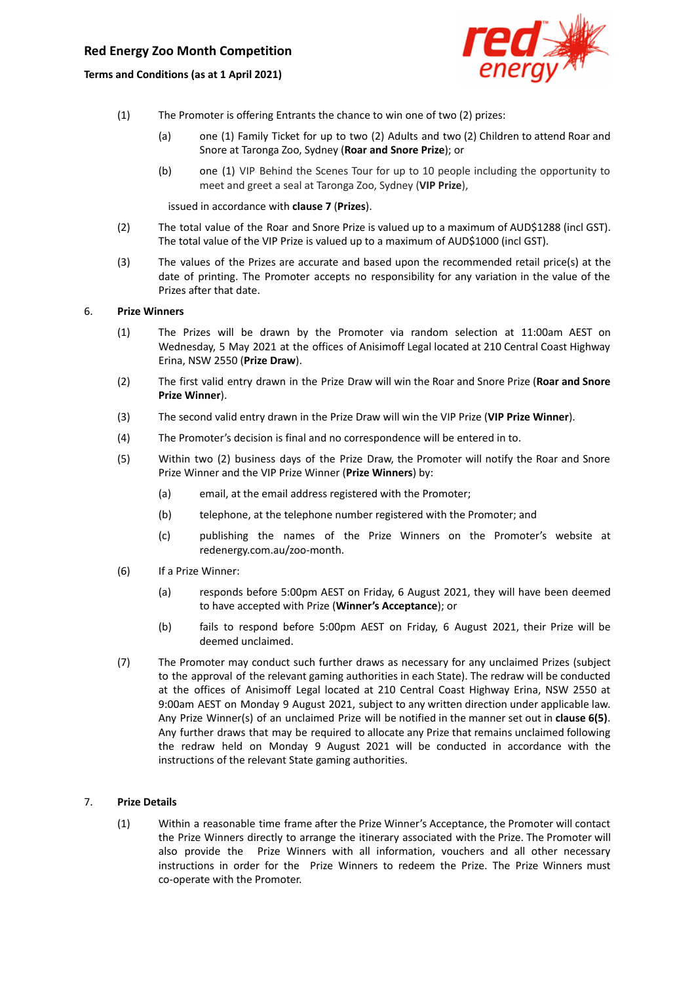# **Red Energy Zoo Month Competition**

**Terms and Conditions (as at 1 April 2021)**



- (1) The Promoter is offering Entrants the chance to win one of two (2) prizes:
	- (a) one (1) Family Ticket for up to two (2) Adults and two (2) Children to attend Roar and Snore at Taronga Zoo, Sydney (**Roar and Snore Prize**); or
	- (b) one (1) VIP Behind the Scenes Tour for up to 10 people including the opportunity to meet and greet a seal at Taronga Zoo, Sydney (**VIP Prize**),

issued in accordance with **clause 7** (**Prizes**).

- (2) The total value of the Roar and Snore Prize is valued up to a maximum of AUD\$1288 (incl GST). The total value of the VIP Prize is valued up to a maximum of AUD\$1000 (incl GST).
- (3) The values of the Prizes are accurate and based upon the recommended retail price(s) at the date of printing. The Promoter accepts no responsibility for any variation in the value of the Prizes after that date.

#### 6. **Prize Winners**

- (1) The Prizes will be drawn by the Promoter via random selection at 11:00am AEST on Wednesday, 5 May 2021 at the offices of Anisimoff Legal located at 210 Central Coast Highway Erina, NSW 2550 (**Prize Draw**).
- (2) The first valid entry drawn in the Prize Draw will win the Roar and Snore Prize (**Roar and Snore Prize Winner**).
- (3) The second valid entry drawn in the Prize Draw will win the VIP Prize (**VIP Prize Winner**).
- (4) The Promoter's decision is final and no correspondence will be entered in to.
- (5) Within two (2) business days of the Prize Draw, the Promoter will notify the Roar and Snore Prize Winner and the VIP Prize Winner (**Prize Winners**) by:
	- (a) email, at the email address registered with the Promoter;
	- (b) telephone, at the telephone number registered with the Promoter; and
	- (c) publishing the names of the Prize Winners on the Promoter's website at redenergy.com.au/zoo-month.
- (6) If a Prize Winner:
	- (a) responds before 5:00pm AEST on Friday, 6 August 2021, they will have been deemed to have accepted with Prize (**Winner's Acceptance**); or
	- (b) fails to respond before 5:00pm AEST on Friday, 6 August 2021, their Prize will be deemed unclaimed.
- (7) The Promoter may conduct such further draws as necessary for any unclaimed Prizes (subject to the approval of the relevant gaming authorities in each State). The redraw will be conducted at the offices of Anisimoff Legal located at 210 Central Coast Highway Erina, NSW 2550 at 9:00am AEST on Monday 9 August 2021, subject to any written direction under applicable law. Any Prize Winner(s) of an unclaimed Prize will be notified in the manner set out in **clause 6(5)**. Any further draws that may be required to allocate any Prize that remains unclaimed following the redraw held on Monday 9 August 2021 will be conducted in accordance with the instructions of the relevant State gaming authorities.

### 7. **Prize Details**

(1) Within a reasonable time frame after the Prize Winner's Acceptance, the Promoter will contact the Prize Winners directly to arrange the itinerary associated with the Prize. The Promoter will also provide the Prize Winners with all information, vouchers and all other necessary instructions in order for the Prize Winners to redeem the Prize. The Prize Winners must co-operate with the Promoter.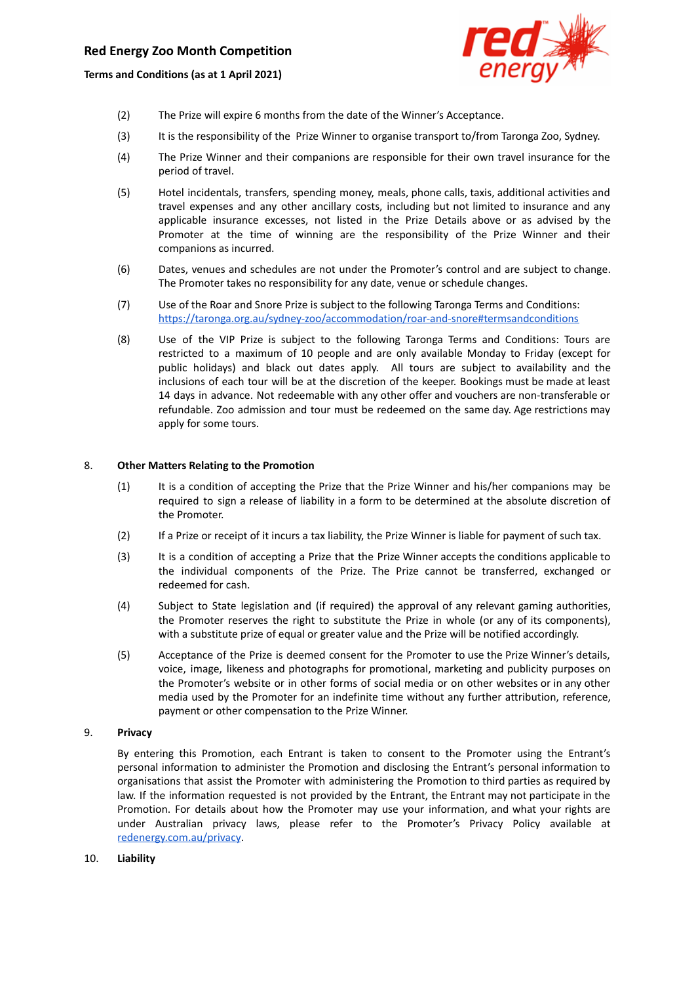**Terms and Conditions (as at 1 April 2021)**



- (2) The Prize will expire 6 months from the date of the Winner's Acceptance.
- (3) It is the responsibility of the Prize Winner to organise transport to/from Taronga Zoo, Sydney.
- (4) The Prize Winner and their companions are responsible for their own travel insurance for the period of travel.
- (5) Hotel incidentals, transfers, spending money, meals, phone calls, taxis, additional activities and travel expenses and any other ancillary costs, including but not limited to insurance and any applicable insurance excesses, not listed in the Prize Details above or as advised by the Promoter at the time of winning are the responsibility of the Prize Winner and their companions as incurred.
- (6) Dates, venues and schedules are not under the Promoter's control and are subject to change. The Promoter takes no responsibility for any date, venue or schedule changes.
- (7) Use of the Roar and Snore Prize is subject to the following Taronga Terms and Conditions: <https://taronga.org.au/sydney-zoo/accommodation/roar-and-snore#termsandconditions>
- (8) Use of the VIP Prize is subject to the following Taronga Terms and Conditions: Tours are restricted to a maximum of 10 people and are only available Monday to Friday (except for public holidays) and black out dates apply. All tours are subject to availability and the inclusions of each tour will be at the discretion of the keeper. Bookings must be made at least 14 days in advance. Not redeemable with any other offer and vouchers are non-transferable or refundable. Zoo admission and tour must be redeemed on the same day. Age restrictions may apply for some tours.

#### 8. **Other Matters Relating to the Promotion**

- (1) It is a condition of accepting the Prize that the Prize Winner and his/her companions may be required to sign a release of liability in a form to be determined at the absolute discretion of the Promoter.
- (2) If a Prize or receipt of it incurs a tax liability, the Prize Winner is liable for payment of such tax.
- (3) It is a condition of accepting a Prize that the Prize Winner accepts the conditions applicable to the individual components of the Prize. The Prize cannot be transferred, exchanged or redeemed for cash.
- (4) Subject to State legislation and (if required) the approval of any relevant gaming authorities, the Promoter reserves the right to substitute the Prize in whole (or any of its components), with a substitute prize of equal or greater value and the Prize will be notified accordingly.
- (5) Acceptance of the Prize is deemed consent for the Promoter to use the Prize Winner's details, voice, image, likeness and photographs for promotional, marketing and publicity purposes on the Promoter's website or in other forms of social media or on other websites or in any other media used by the Promoter for an indefinite time without any further attribution, reference, payment or other compensation to the Prize Winner.

#### 9. **Privacy**

By entering this Promotion, each Entrant is taken to consent to the Promoter using the Entrant's personal information to administer the Promotion and disclosing the Entrant's personal information to organisations that assist the Promoter with administering the Promotion to third parties as required by law. If the information requested is not provided by the Entrant, the Entrant may not participate in the Promotion. For details about how the Promoter may use your information, and what your rights are under Australian privacy laws, please refer to the Promoter's Privacy Policy available at [redenergy.com.au/privacy](https://www.redenergy.com.au/privacy).

#### 10. **Liability**